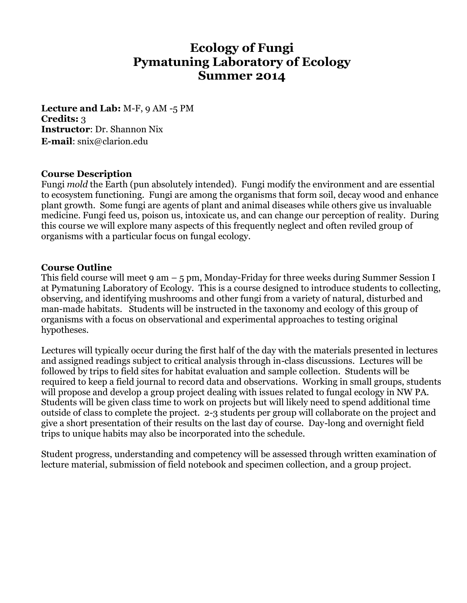# **Ecology of Fungi Pymatuning Laboratory of Ecology Summer 2014**

**Lecture and Lab:** M-F, 9 AM -5 PM **Credits:** 3 **Instructor**: Dr. Shannon Nix **E-mail**: snix@clarion.edu

#### **Course Description**

Fungi *mold* the Earth (pun absolutely intended). Fungi modify the environment and are essential to ecosystem functioning. Fungi are among the organisms that form soil, decay wood and enhance plant growth. Some fungi are agents of plant and animal diseases while others give us invaluable medicine. Fungi feed us, poison us, intoxicate us, and can change our perception of reality. During this course we will explore many aspects of this frequently neglect and often reviled group of organisms with a particular focus on fungal ecology.

#### **Course Outline**

This field course will meet 9 am  $-$  5 pm, Monday-Friday for three weeks during Summer Session I at Pymatuning Laboratory of Ecology. This is a course designed to introduce students to collecting, observing, and identifying mushrooms and other fungi from a variety of natural, disturbed and man-made habitats. Students will be instructed in the taxonomy and ecology of this group of organisms with a focus on observational and experimental approaches to testing original hypotheses.

Lectures will typically occur during the first half of the day with the materials presented in lectures and assigned readings subject to critical analysis through in-class discussions. Lectures will be followed by trips to field sites for habitat evaluation and sample collection. Students will be required to keep a field journal to record data and observations. Working in small groups, students will propose and develop a group project dealing with issues related to fungal ecology in NW PA. Students will be given class time to work on projects but will likely need to spend additional time outside of class to complete the project. 2-3 students per group will collaborate on the project and give a short presentation of their results on the last day of course. Day-long and overnight field trips to unique habits may also be incorporated into the schedule.

Student progress, understanding and competency will be assessed through written examination of lecture material, submission of field notebook and specimen collection, and a group project.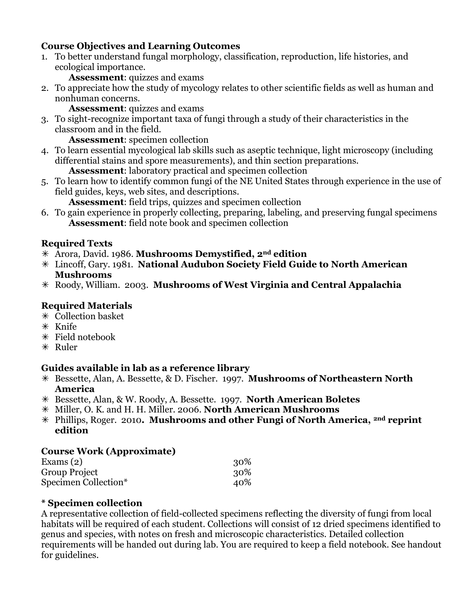## **Course Objectives and Learning Outcomes**

1. To better understand fungal morphology, classification, reproduction, life histories, and ecological importance.

**Assessment**: quizzes and exams

2. To appreciate how the study of mycology relates to other scientific fields as well as human and nonhuman concerns.

**Assessment**: quizzes and exams

3. To sight-recognize important taxa of fungi through a study of their characteristics in the classroom and in the field.

**Assessment**: specimen collection

4. To learn essential mycological lab skills such as aseptic technique, light microscopy (including differential stains and spore measurements), and thin section preparations.

**Assessment**: laboratory practical and specimen collection

5. To learn how to identify common fungi of the NE United States through experience in the use of field guides, keys, web sites, and descriptions.

**Assessment**: field trips, quizzes and specimen collection

6. To gain experience in properly collecting, preparing, labeling, and preserving fungal specimens **Assessment**: field note book and specimen collection

## **Required Texts**

- Arora, David. 1986. **Mushrooms Demystified, 2nd edition**
- Lincoff, Gary. 1981. **National Audubon Society Field Guide to North American Mushrooms**
- Roody, William. 2003. **Mushrooms of West Virginia and Central Appalachia**

## **Required Materials**

- Collection basket
- $*$  Knife
- Field notebook
- $*$  Ruler

## **Guides available in lab as a reference library**

- Bessette, Alan, A. Bessette, & D. Fischer. 1997. **Mushrooms of Northeastern North America**
- Bessette, Alan, & W. Roody, A. Bessette. 1997. **North American Boletes**
- Miller, O. K. and H. H. Miller. 2006. **North American Mushrooms**
- Phillips, Roger. 2010**. Mushrooms and other Fungi of North America, 2nd reprint edition**

## **Course Work (Approximate)**

| Exams (2)            | 30% |
|----------------------|-----|
| Group Project        | 30% |
| Specimen Collection* | 40% |

#### **\* Specimen collection**

A representative collection of field-collected specimens reflecting the diversity of fungi from local habitats will be required of each student. Collections will consist of 12 dried specimens identified to genus and species, with notes on fresh and microscopic characteristics. Detailed collection requirements will be handed out during lab. You are required to keep a field notebook. See handout for guidelines.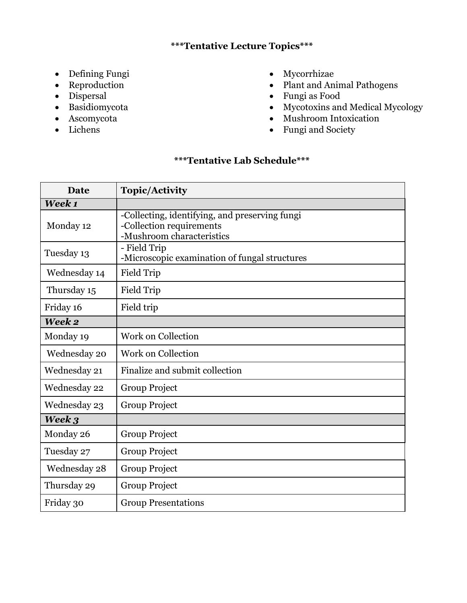## **\*\*\*Tentative Lecture Topics\*\*\***

- Defining Fungi
- Reproduction
- Dispersal
- Basidiomycota
- Ascomycota
- Lichens
- Mycorrhizae
- Plant and Animal Pathogens
- Fungi as Food
- Mycotoxins and Medical Mycology
- Mushroom Intoxication
- Fungi and Society

# **\*\*\*Tentative Lab Schedule\*\*\***

| <b>Date</b>  | <b>Topic/Activity</b>                                                                                   |
|--------------|---------------------------------------------------------------------------------------------------------|
| Week 1       |                                                                                                         |
| Monday 12    | -Collecting, identifying, and preserving fungi<br>-Collection requirements<br>-Mushroom characteristics |
| Tuesday 13   | - Field Trip<br>-Microscopic examination of fungal structures                                           |
| Wednesday 14 | <b>Field Trip</b>                                                                                       |
| Thursday 15  | <b>Field Trip</b>                                                                                       |
| Friday 16    | Field trip                                                                                              |
| Week 2       |                                                                                                         |
| Monday 19    | <b>Work on Collection</b>                                                                               |
| Wednesday 20 | Work on Collection                                                                                      |
| Wednesday 21 | Finalize and submit collection                                                                          |
| Wednesday 22 | Group Project                                                                                           |
| Wednesday 23 | Group Project                                                                                           |
| Week 3       |                                                                                                         |
| Monday 26    | Group Project                                                                                           |
| Tuesday 27   | Group Project                                                                                           |
| Wednesday 28 | <b>Group Project</b>                                                                                    |
| Thursday 29  | Group Project                                                                                           |
| Friday 30    | <b>Group Presentations</b>                                                                              |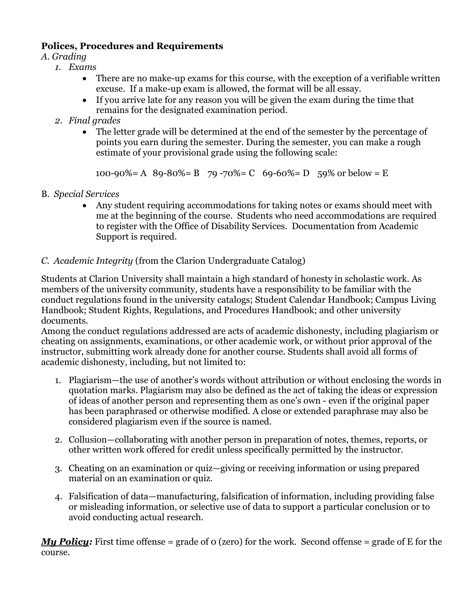## **Polices, Procedures and Requirements**

## *A. Grading*

- *1. Exams*
	- There are no make-up exams for this course, with the exception of a verifiable written excuse. If a make-up exam is allowed, the format will be all essay.
	- If you arrive late for any reason you will be given the exam during the time that remains for the designated examination period.
- *2. Final grades*
	- The letter grade will be determined at the end of the semester by the percentage of points you earn during the semester. During the semester, you can make a rough estimate of your provisional grade using the following scale:

100-90%= A 89-80%= B 79-70%= C 69-60%= D 59% or below = E

- B. *Special Services*
	- Any student requiring accommodations for taking notes or exams should meet with me at the beginning of the course. Students who need accommodations are required to register with the Office of Disability Services. Documentation from Academic Support is required.

## *C. Academic Integrity* (from the Clarion Undergraduate Catalog)

Students at Clarion University shall maintain a high standard of honesty in scholastic work. As members of the university community, students have a responsibility to be familiar with the conduct regulations found in the university catalogs; Student Calendar Handbook; Campus Living Handbook; Student Rights, Regulations, and Procedures Handbook; and other university documents.

Among the conduct regulations addressed are acts of academic dishonesty, including plagiarism or cheating on assignments, examinations, or other academic work, or without prior approval of the instructor, submitting work already done for another course. Students shall avoid all forms of academic dishonesty, including, but not limited to:

- 1. Plagiarism—the use of another's words without attribution or without enclosing the words in quotation marks. Plagiarism may also be defined as the act of taking the ideas or expression of ideas of another person and representing them as one's own - even if the original paper has been paraphrased or otherwise modified. A close or extended paraphrase may also be considered plagiarism even if the source is named.
- 2. Collusion—collaborating with another person in preparation of notes, themes, reports, or other written work offered for credit unless specifically permitted by the instructor.
- 3. Cheating on an examination or quiz—giving or receiving information or using prepared material on an examination or quiz.
- 4. Falsification of data—manufacturing, falsification of information, including providing false or misleading information, or selective use of data to support a particular conclusion or to avoid conducting actual research.

*My Policy:* First time offense = grade of 0 (zero) for the work. Second offense = grade of E for the course.